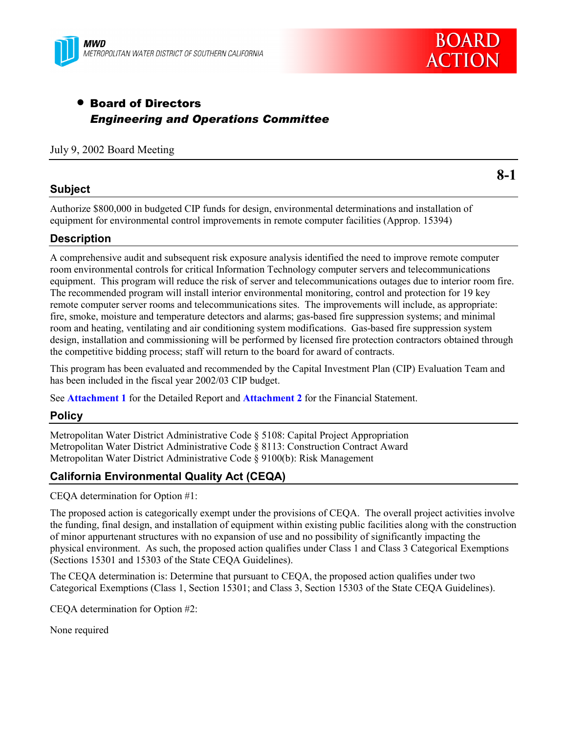



# • Board of Directors *Engineering and Operations Committee*

#### July 9, 2002 Board Meeting

### **Subject**

**8-1**

Authorize \$800,000 in budgeted CIP funds for design, environmental determinations and installation of equipment for environmental control improvements in remote computer facilities (Approp. 15394)

### **Description**

A comprehensive audit and subsequent risk exposure analysis identified the need to improve remote computer room environmental controls for critical Information Technology computer servers and telecommunications equipment. This program will reduce the risk of server and telecommunications outages due to interior room fire. The recommended program will install interior environmental monitoring, control and protection for 19 key remote computer server rooms and telecommunications sites. The improvements will include, as appropriate: fire, smoke, moisture and temperature detectors and alarms; gas-based fire suppression systems; and minimal room and heating, ventilating and air conditioning system modifications. Gas-based fire suppression system design, installation and commissioning will be performed by licensed fire protection contractors obtained through the competitive bidding process; staff will return to the board for award of contracts.

This program has been evaluated and recommended by the Capital Investment Plan (CIP) Evaluation Team and has been included in the fiscal year 2002/03 CIP budget.

See **Attachment 1** for the Detailed Report and **Attachment 2** for the Financial Statement.

#### **Policy**

Metropolitan Water District Administrative Code ß 5108: Capital Project Appropriation Metropolitan Water District Administrative Code ß 8113: Construction Contract Award Metropolitan Water District Administrative Code ß 9100(b): Risk Management

### **California Environmental Quality Act (CEQA)**

CEQA determination for Option #1:

The proposed action is categorically exempt under the provisions of CEQA. The overall project activities involve the funding, final design, and installation of equipment within existing public facilities along with the construction of minor appurtenant structures with no expansion of use and no possibility of significantly impacting the physical environment. As such, the proposed action qualifies under Class 1 and Class 3 Categorical Exemptions (Sections 15301 and 15303 of the State CEQA Guidelines).

The CEQA determination is: Determine that pursuant to CEQA, the proposed action qualifies under two Categorical Exemptions (Class 1, Section 15301; and Class 3, Section 15303 of the State CEQA Guidelines).

CEQA determination for Option #2:

None required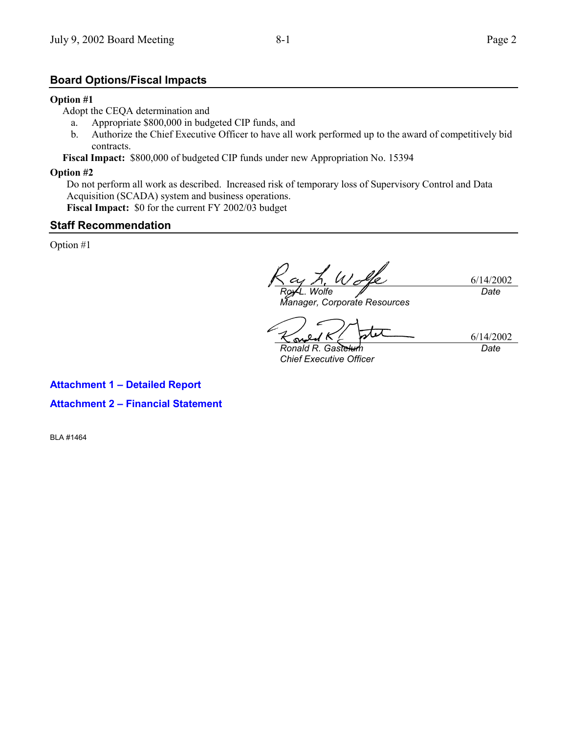# **Board Options/Fiscal Impacts**

#### **Option #1**

Adopt the CEQA determination and

- a. Appropriate \$800,000 in budgeted CIP funds, and
- b. Authorize the Chief Executive Officer to have all work performed up to the award of competitively bid contracts.

**Fiscal Impact:** \$800,000 of budgeted CIP funds under new Appropriation No. 15394

#### **Option #2**

Do not perform all work as described. Increased risk of temporary loss of Supervisory Control and Data Acquisition (SCADA) system and business operations. **Fiscal Impact:** \$0 for the current FY 2002/03 budget

### **Staff Recommendation**

Option #1

6/14/2002 *Roy L. Wolfe Date*

*Manager, Corporate Resources*

 $\varpi$ 

6/14/2002 *Date*

*Ronald R. Gastelum Chief Executive Officer*

**Attachment 1 – Detailed Report Attachment 2 – Financial Statement**

BLA #1464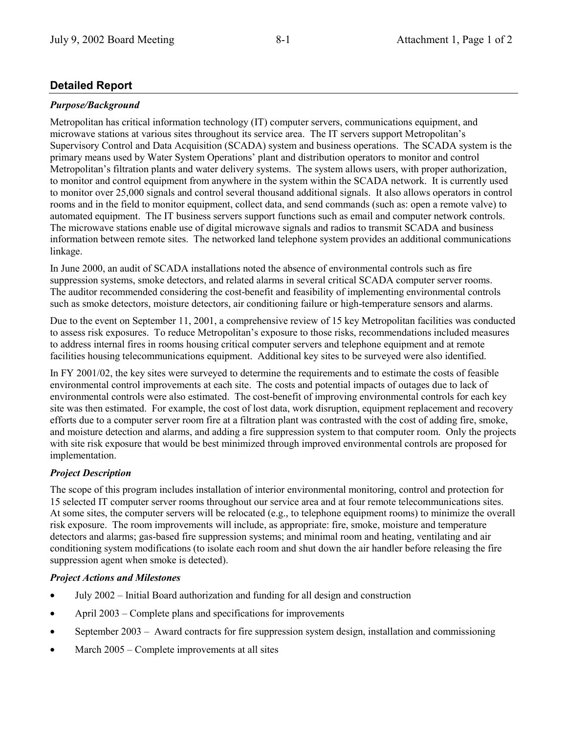# **Detailed Report**

## *Purpose/Background*

Metropolitan has critical information technology (IT) computer servers, communications equipment, and microwave stations at various sites throughout its service area. The IT servers support Metropolitanís Supervisory Control and Data Acquisition (SCADA) system and business operations. The SCADA system is the primary means used by Water System Operations' plant and distribution operators to monitor and control Metropolitan's filtration plants and water delivery systems. The system allows users, with proper authorization, to monitor and control equipment from anywhere in the system within the SCADA network. It is currently used to monitor over 25,000 signals and control several thousand additional signals. It also allows operators in control rooms and in the field to monitor equipment, collect data, and send commands (such as: open a remote valve) to automated equipment. The IT business servers support functions such as email and computer network controls. The microwave stations enable use of digital microwave signals and radios to transmit SCADA and business information between remote sites. The networked land telephone system provides an additional communications linkage.

In June 2000, an audit of SCADA installations noted the absence of environmental controls such as fire suppression systems, smoke detectors, and related alarms in several critical SCADA computer server rooms. The auditor recommended considering the cost-benefit and feasibility of implementing environmental controls such as smoke detectors, moisture detectors, air conditioning failure or high-temperature sensors and alarms.

Due to the event on September 11, 2001, a comprehensive review of 15 key Metropolitan facilities was conducted to assess risk exposures. To reduce Metropolitanís exposure to those risks, recommendations included measures to address internal fires in rooms housing critical computer servers and telephone equipment and at remote facilities housing telecommunications equipment. Additional key sites to be surveyed were also identified.

In FY 2001/02, the key sites were surveyed to determine the requirements and to estimate the costs of feasible environmental control improvements at each site. The costs and potential impacts of outages due to lack of environmental controls were also estimated. The cost-benefit of improving environmental controls for each key site was then estimated. For example, the cost of lost data, work disruption, equipment replacement and recovery efforts due to a computer server room fire at a filtration plant was contrasted with the cost of adding fire, smoke, and moisture detection and alarms, and adding a fire suppression system to that computer room. Only the projects with site risk exposure that would be best minimized through improved environmental controls are proposed for implementation.

# *Project Description*

The scope of this program includes installation of interior environmental monitoring, control and protection for 15 selected IT computer server rooms throughout our service area and at four remote telecommunications sites. At some sites, the computer servers will be relocated (e.g., to telephone equipment rooms) to minimize the overall risk exposure. The room improvements will include, as appropriate: fire, smoke, moisture and temperature detectors and alarms; gas-based fire suppression systems; and minimal room and heating, ventilating and air conditioning system modifications (to isolate each room and shut down the air handler before releasing the fire suppression agent when smoke is detected).

# *Project Actions and Milestones*

- July 2002 Initial Board authorization and funding for all design and construction
- April  $2003$  Complete plans and specifications for improvements
- September 2003  $-$  Award contracts for fire suppression system design, installation and commissioning
- March  $2005$  Complete improvements at all sites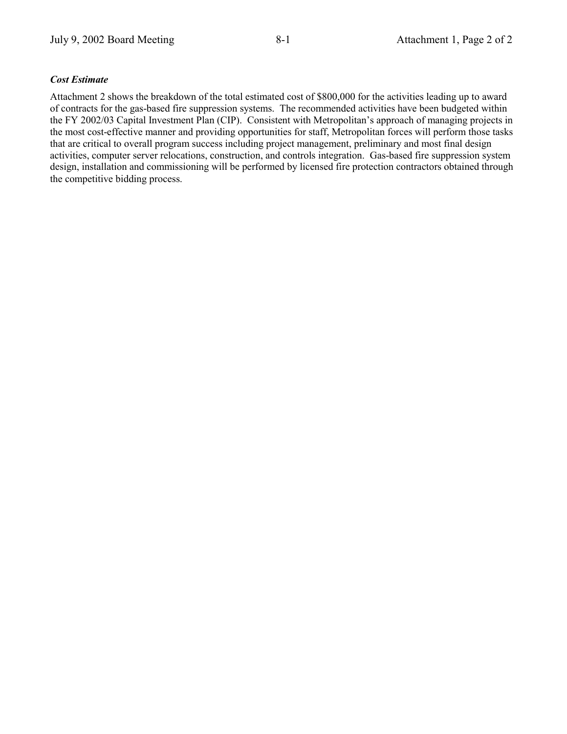## *Cost Estimate*

Attachment 2 shows the breakdown of the total estimated cost of \$800,000 for the activities leading up to award of contracts for the gas-based fire suppression systems. The recommended activities have been budgeted within the FY 2002/03 Capital Investment Plan (CIP). Consistent with Metropolitan's approach of managing projects in the most cost-effective manner and providing opportunities for staff, Metropolitan forces will perform those tasks that are critical to overall program success including project management, preliminary and most final design activities, computer server relocations, construction, and controls integration. Gas-based fire suppression system design, installation and commissioning will be performed by licensed fire protection contractors obtained through the competitive bidding process.